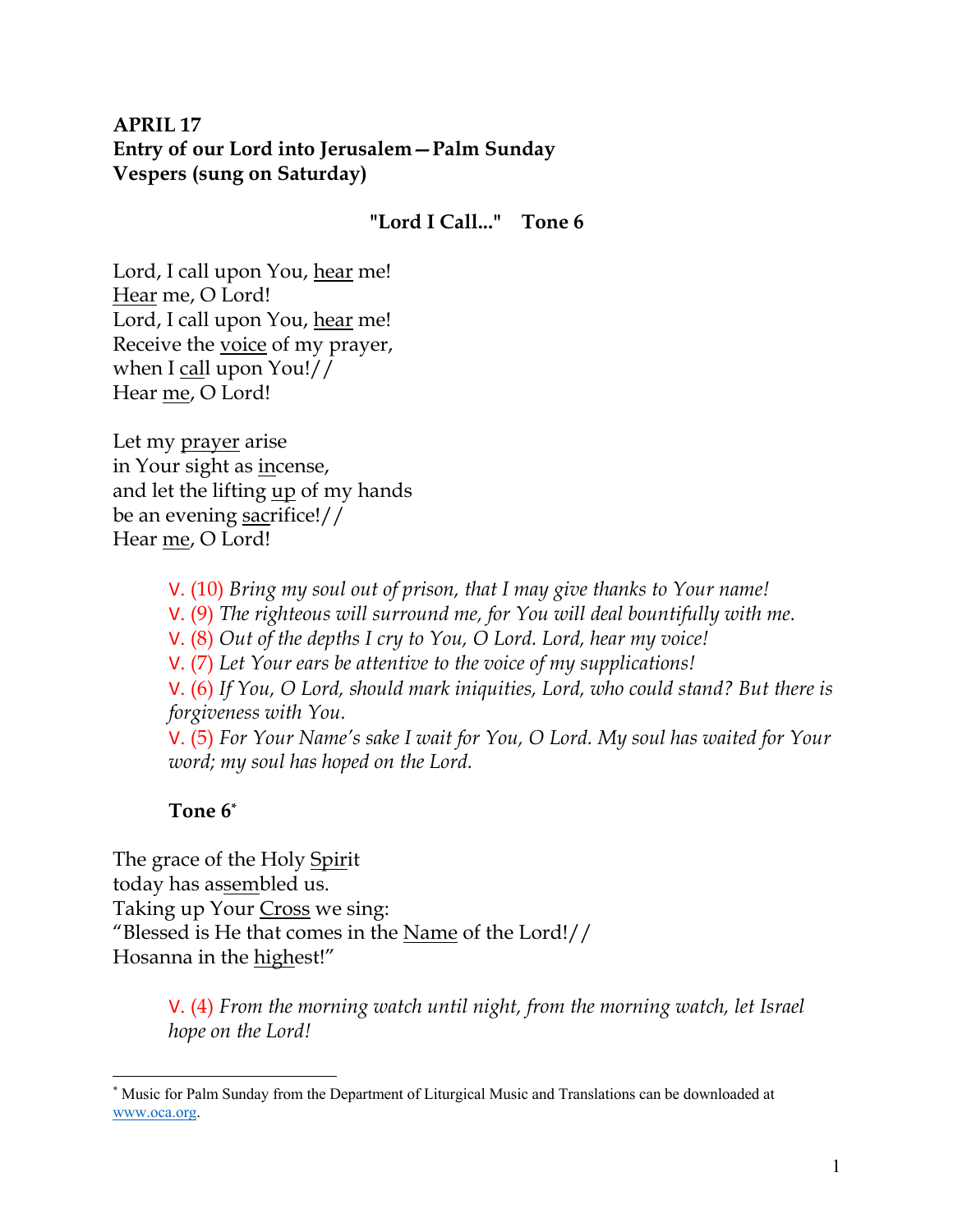# **APRIL 17 Entry of our Lord into Jerusalem—Palm Sunday Vespers (sung on Saturday)**

# **"Lord I Call..." Tone 6**

Lord, I call upon You, hear me! Hear me, O Lord! Lord, I call upon You, hear me! Receive the voice of my prayer, when I call upon You!// Hear me, O Lord!

Let my prayer arise in Your sight as incense, and let the lifting <u>up</u> of my hands be an evening sacrifice!// Hear me, O Lord!

V. (10) *Bring my soul out of prison, that I may give thanks to Your name!* 

V. (9) *The righteous will surround me, for You will deal bountifully with me.* 

V. (8) *Out of the depths I cry to You, O Lord. Lord, hear my voice!* 

V. (7) *Let Your ears be attentive to the voice of my supplications!*

V. (6) *If You, O Lord, should mark iniquities, Lord, who could stand? But there is forgiveness with You.* 

V. (5) *For Your Name's sake I wait for You, O Lord. My soul has waited for Your word; my soul has hoped on the Lord.* 

# **Tone 6\***

The grace of the Holy Spirit today has assembled us. Taking up Your Cross we sing: "Blessed is He that comes in the Name of the Lord!// Hosanna in the highest!"

> V. (4) *From the morning watch until night, from the morning watch, let Israel hope on the Lord!*

<sup>\*</sup> Music for Palm Sunday from the Department of Liturgical Music and Translations can be downloaded at www.oca.org.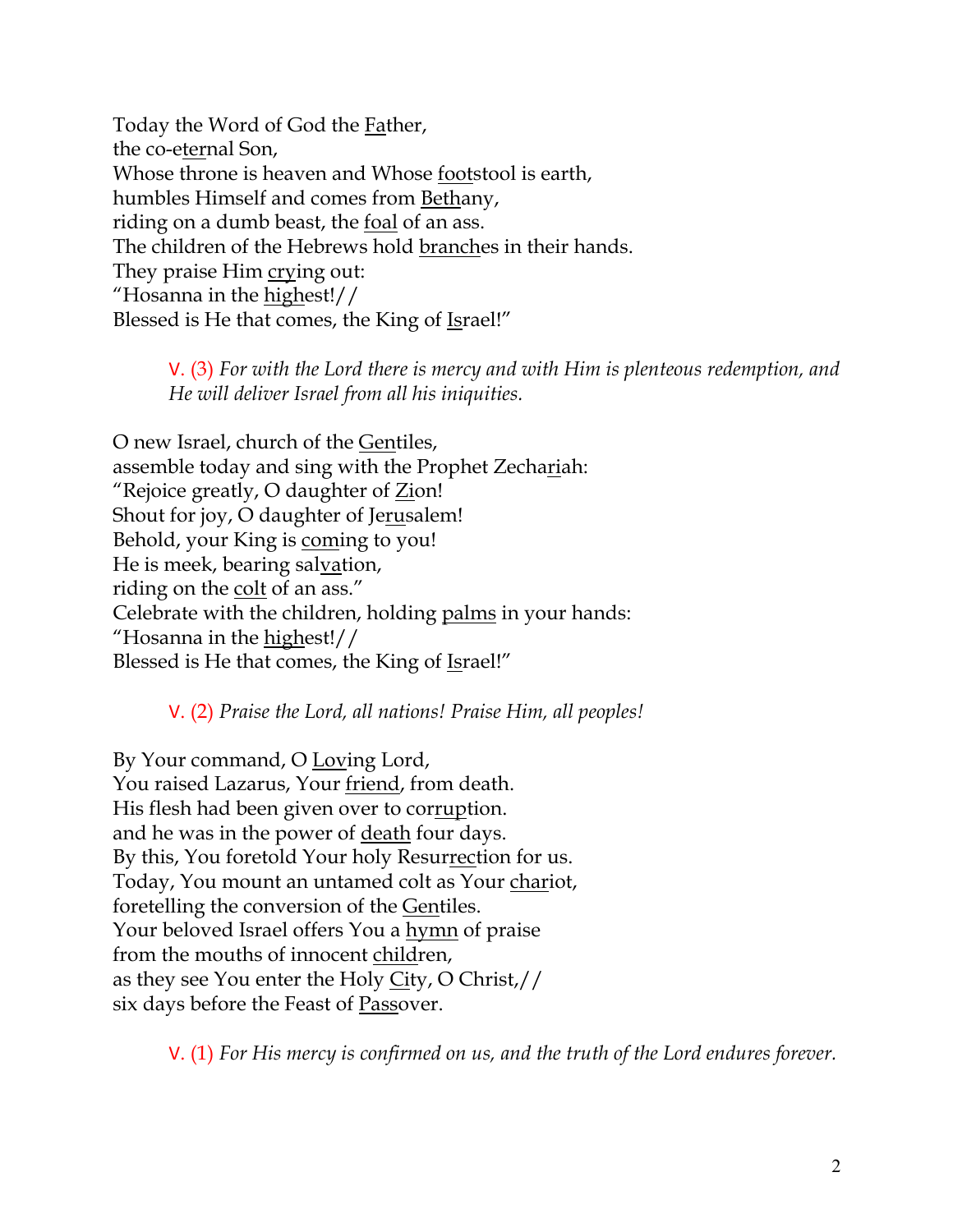Today the Word of God the Father, the co-eternal Son, Whose throne is heaven and Whose footstool is earth, humbles Himself and comes from Bethany, riding on a dumb beast, the foal of an ass. The children of the Hebrews hold branches in their hands. They praise Him crying out: "Hosanna in the highest!// Blessed is He that comes, the King of Israel!"

> V. (3) *For with the Lord there is mercy and with Him is plenteous redemption, and He will deliver Israel from all his iniquities.*

O new Israel, church of the Gentiles, assemble today and sing with the Prophet Zechariah: "Rejoice greatly, O daughter of Zion! Shout for joy, O daughter of Jerusalem! Behold, your King is coming to you! He is meek, bearing salvation, riding on the colt of an ass." Celebrate with the children, holding palms in your hands: "Hosanna in the highest!// Blessed is He that comes, the King of Israel!"

V. (2) *Praise the Lord, all nations! Praise Him, all peoples!*

By Your command, O Loving Lord, You raised Lazarus, Your friend, from death. His flesh had been given over to corruption. and he was in the power of death four days. By this, You foretold Your holy Resurrection for us. Today, You mount an untamed colt as Your chariot, foretelling the conversion of the Gentiles. Your beloved Israel offers You a hymn of praise from the mouths of innocent children, as they see You enter the Holy City, O Christ,// six days before the Feast of Passover.

V. (1) *For His mercy is confirmed on us, and the truth of the Lord endures forever.*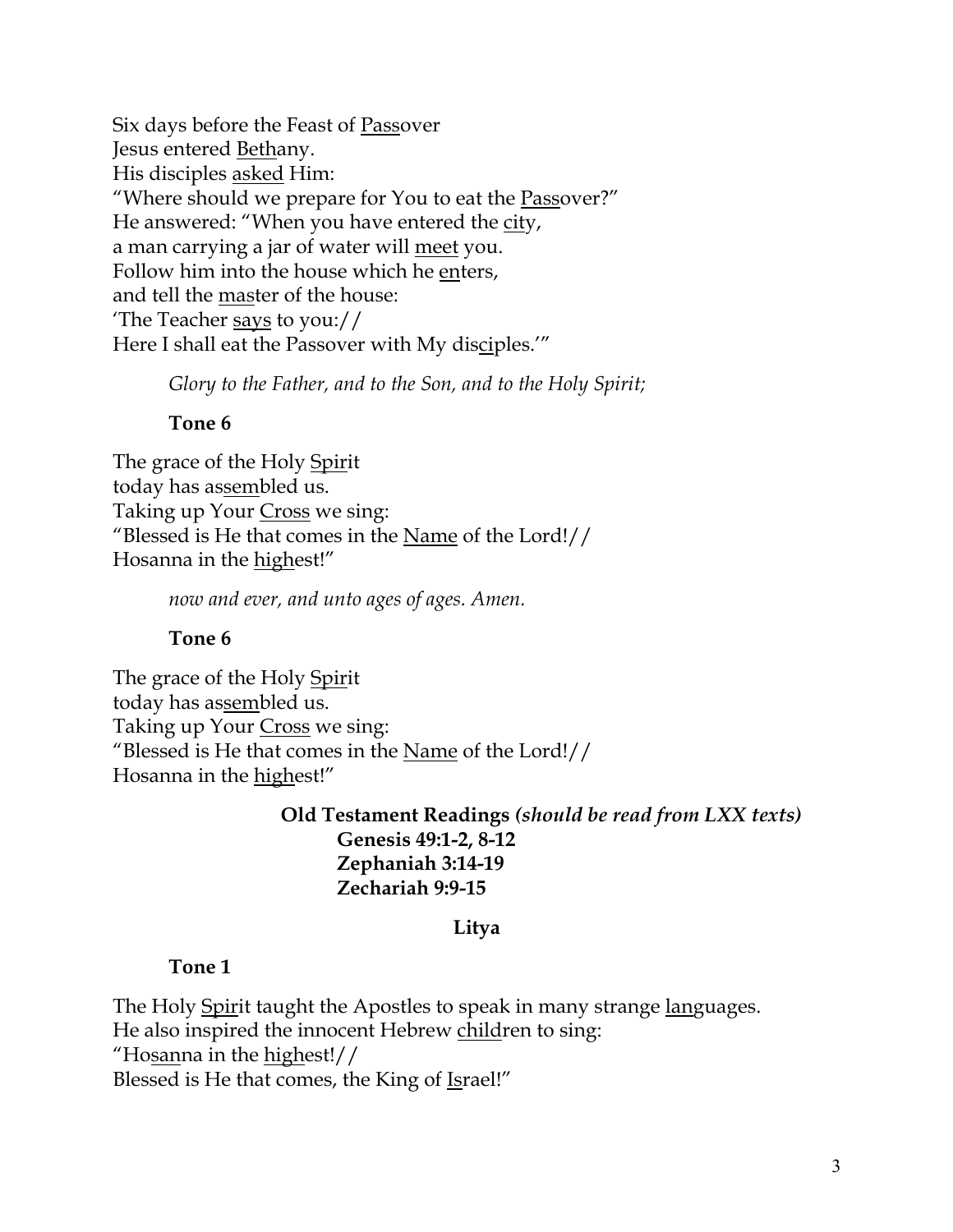Six days before the Feast of Passover Jesus entered Bethany. His disciples asked Him: "Where should we prepare for You to eat the Passover?" He answered: "When you have entered the city, a man carrying a jar of water will meet you. Follow him into the house which he enters, and tell the master of the house: 'The Teacher says to you:// Here I shall eat the Passover with My disciples.'"

*Glory to the Father, and to the Son, and to the Holy Spirit;*

## **Tone 6**

The grace of the Holy Spirit today has assembled us. Taking up Your Cross we sing: "Blessed is He that comes in the Name of the Lord!// Hosanna in the highest!"

*now and ever, and unto ages of ages. Amen.* 

## **Tone 6**

The grace of the Holy Spirit today has assembled us. Taking up Your Cross we sing: "Blessed is He that comes in the Name of the Lord!// Hosanna in the highest!"

> **Old Testament Readings** *(should be read from LXX texts)* **Genesis 49:1-2, 8-12 Zephaniah 3:14-19 Zechariah 9:9-15**

## **Litya**

## **Tone 1**

The Holy Spirit taught the Apostles to speak in many strange languages. He also inspired the innocent Hebrew children to sing: "Hosanna in the highest!// Blessed is He that comes, the King of Israel!"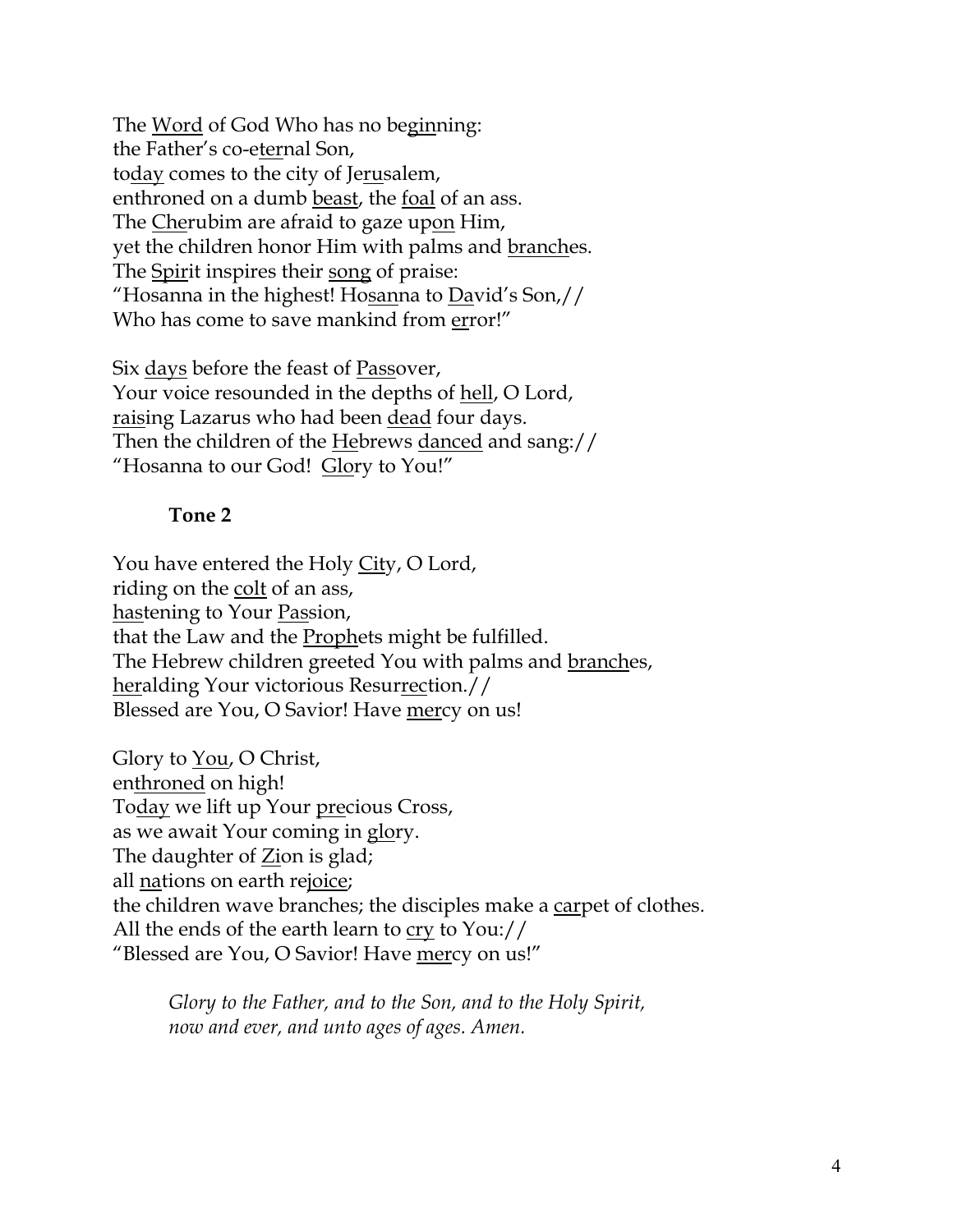The Word of God Who has no beginning: the Father's co-eternal Son, today comes to the city of Jerusalem, enthroned on a dumb beast, the foal of an ass. The Cherubim are afraid to gaze upon Him, yet the children honor Him with palms and branches. The Spirit inspires their song of praise: "Hosanna in the highest! Hosanna to David's Son,// Who has come to save mankind from error!"

Six days before the feast of Passover, Your voice resounded in the depths of hell, O Lord, raising Lazarus who had been dead four days. Then the children of the Hebrews danced and sang:// "Hosanna to our God! Glory to You!"

## **Tone 2**

You have entered the Holy City, O Lord, riding on the colt of an ass, hastening to Your Passion, that the Law and the Prophets might be fulfilled. The Hebrew children greeted You with palms and branches, heralding Your victorious Resurrection.// Blessed are You, O Savior! Have mercy on us!

Glory to You, O Christ, enthroned on high! Today we lift up Your precious Cross, as we await Your coming in glory. The daughter of **Zion** is glad; all nations on earth rejoice; the children wave branches; the disciples make a carpet of clothes. All the ends of the earth learn to cry to You:// "Blessed are You, O Savior! Have mercy on us!"

*Glory to the Father, and to the Son, and to the Holy Spirit, now and ever, and unto ages of ages. Amen.*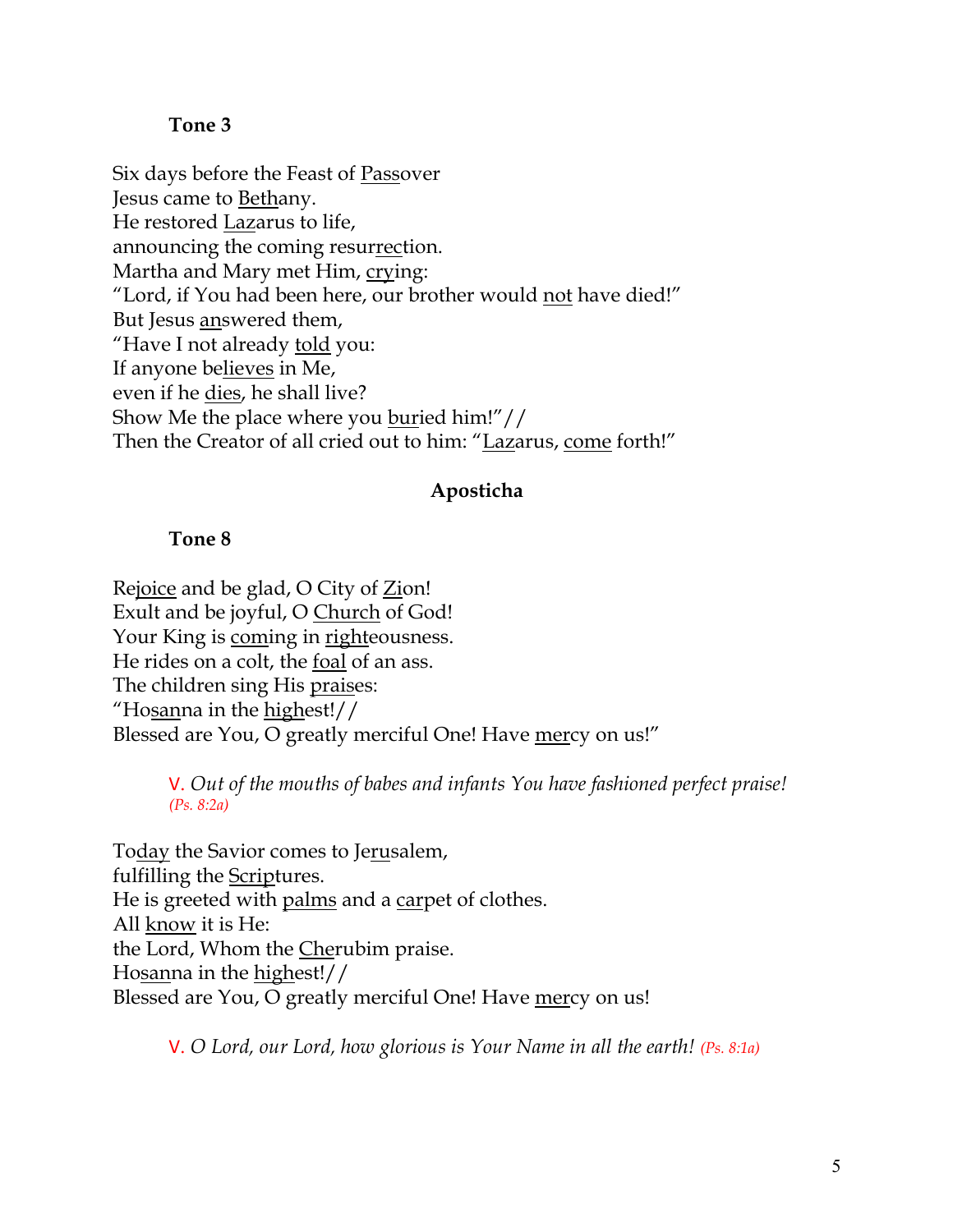#### **Tone 3**

Six days before the Feast of Passover Jesus came to Bethany. He restored Lazarus to life, announcing the coming resurrection. Martha and Mary met Him, crying: "Lord, if You had been here, our brother would not have died!" But Jesus answered them, "Have I not already told you: If anyone believes in Me, even if he dies, he shall live? Show Me the place where you buried him!"// Then the Creator of all cried out to him: "Lazarus, come forth!"

#### **Aposticha**

#### **Tone 8**

Rejoice and be glad,  $O$  City of  $Z$ *ion!* Exult and be joyful, O Church of God! Your King is coming in righteousness. He rides on a colt, the foal of an ass. The children sing His praises: "Hosanna in the highest!// Blessed are You, O greatly merciful One! Have mercy on us!"

> V. *Out of the mouths of babes and infants You have fashioned perfect praise! (Ps. 8:2a)*

Today the Savior comes to Jerusalem, fulfilling the Scriptures. He is greeted with palms and a carpet of clothes. All know it is He: the Lord, Whom the Cherubim praise. Hosanna in the highest!// Blessed are You, O greatly merciful One! Have mercy on us!

V. *O Lord, our Lord, how glorious is Your Name in all the earth! (Ps. 8:1a)*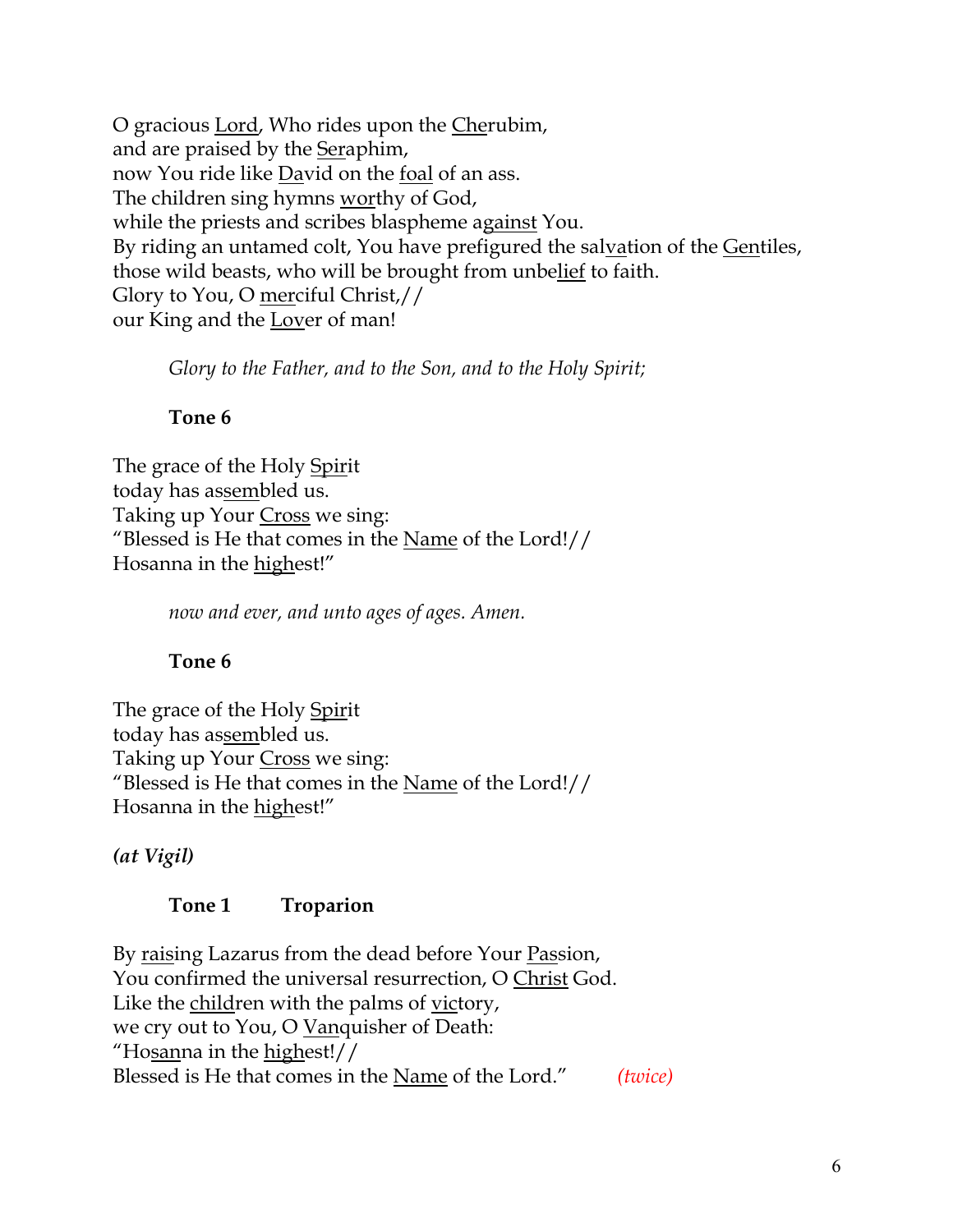O gracious Lord, Who rides upon the Cherubim, and are praised by the Seraphim, now You ride like David on the foal of an ass. The children sing hymns worthy of God, while the priests and scribes blaspheme against You. By riding an untamed colt, You have prefigured the salvation of the Gentiles, those wild beasts, who will be brought from unbelief to faith. Glory to You, O merciful Christ,// our King and the Lover of man!

*Glory to the Father, and to the Son, and to the Holy Spirit;*

# **Tone 6**

The grace of the Holy Spirit today has assembled us. Taking up Your Cross we sing: "Blessed is He that comes in the Name of the Lord!// Hosanna in the highest!"

*now and ever, and unto ages of ages. Amen.*

# **Tone 6**

The grace of the Holy Spirit today has assembled us. Taking up Your Cross we sing: "Blessed is He that comes in the <u>Name</u> of the Lord!// Hosanna in the highest!"

*(at Vigil)*

# **Tone 1 Troparion**

By raising Lazarus from the dead before Your Passion, You confirmed the universal resurrection, O Christ God. Like the children with the palms of victory, we cry out to You, O Vanquisher of Death: "Hosanna in the highest!// Blessed is He that comes in the Name of the Lord." *(twice)*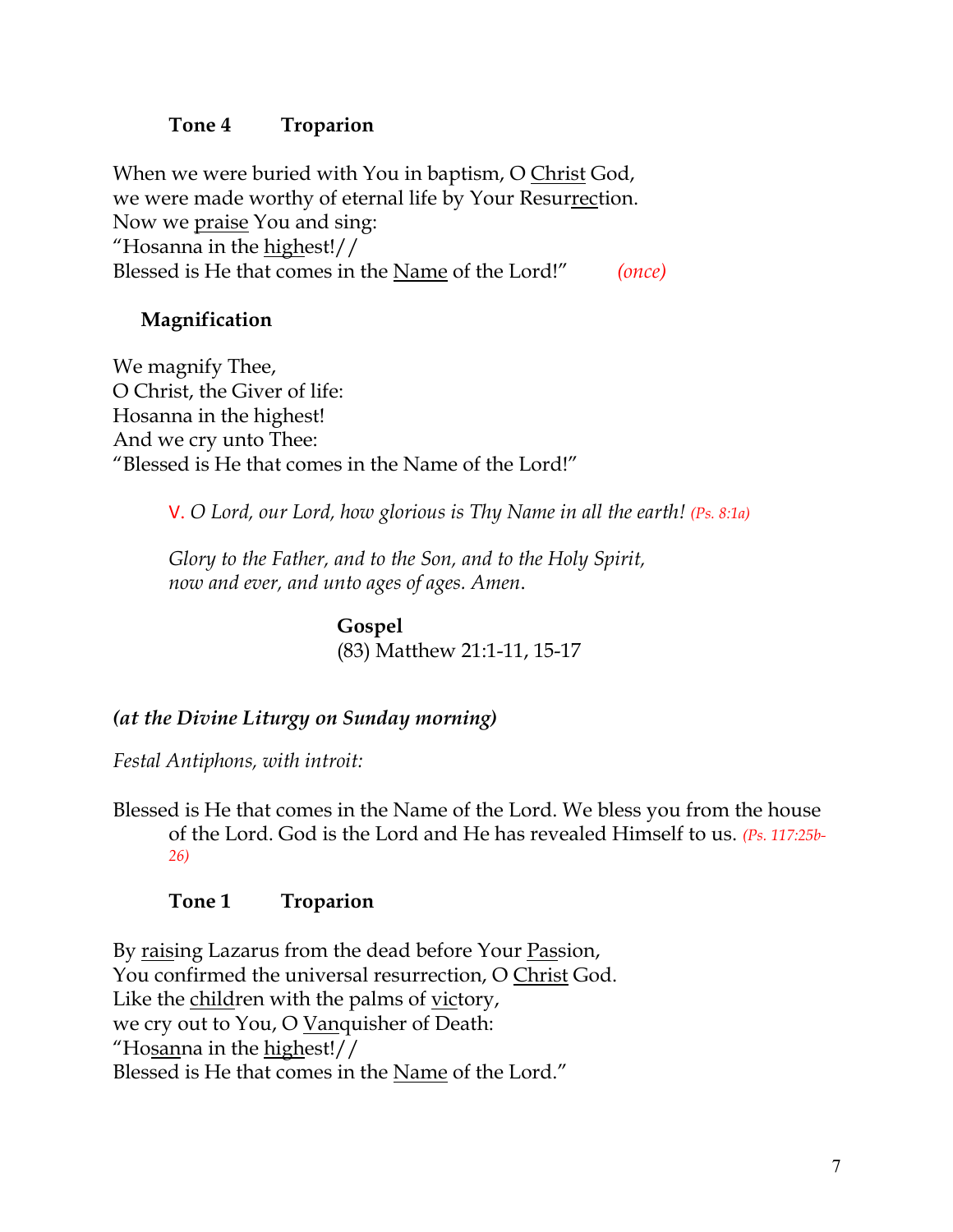# **Tone 4 Troparion**

When we were buried with You in baptism, O Christ God, we were made worthy of eternal life by Your Resurrection. Now we praise You and sing: "Hosanna in the  $highest!//$ Blessed is He that comes in the Name of the Lord!" *(once)*

# **Magnification**

We magnify Thee, O Christ, the Giver of life: Hosanna in the highest! And we cry unto Thee: "Blessed is He that comes in the Name of the Lord!"

V. *O Lord, our Lord, how glorious is Thy Name in all the earth! (Ps. 8:1a)*

*Glory to the Father, and to the Son, and to the Holy Spirit, now and ever, and unto ages of ages. Amen*.

> **Gospel** (83) Matthew 21:1-11, 15-17

# *(at the Divine Liturgy on Sunday morning)*

*Festal Antiphons, with introit:*

Blessed is He that comes in the Name of the Lord. We bless you from the house of the Lord. God is the Lord and He has revealed Himself to us. *(Ps. 117:25b-26)*

## **Tone 1 Troparion**

By raising Lazarus from the dead before Your Passion, You confirmed the universal resurrection, O Christ God. Like the children with the palms of victory, we cry out to You, O Vanquisher of Death: "Hosanna in the highest!// Blessed is He that comes in the Name of the Lord."